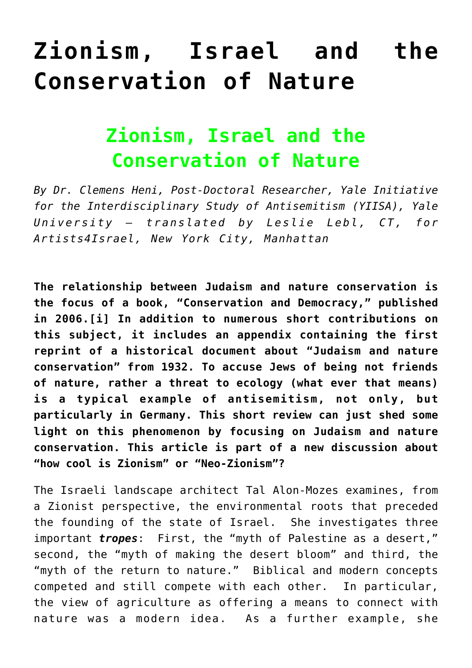## **[Zionism, Israel and the](https://www.clemensheni.net/zionism-israel-and-the-conservation-of-nature/) [Conservation of Nature](https://www.clemensheni.net/zionism-israel-and-the-conservation-of-nature/)**

## **Zionism, Israel and the Conservation of Nature**

*By Dr. Clemens Heni, Post-Doctoral Researcher, Yale Initiative for the Interdisciplinary Study of Antisemitism (YIISA), Yale University – translated by Leslie Lebl, CT, for [Artists4Israel](http://www.artists4israel.org/index2.php#/home/), New York City, Manhattan*

**The relationship between Judaism and nature conservation is the focus of a book, "Conservation and Democracy," published in 2006.[\[i\]](#page--1-0) In addition to numerous short contributions on this subject, it includes an appendix containing the first reprint of a historical document about "Judaism and nature conservation" from 1932. To accuse Jews of being not friends of nature, rather a threat to ecology (what ever that means) is a typical example of antisemitism, not only, but particularly in Germany. This short review can just shed some light on this phenomenon by focusing on Judaism and nature conservation. This article is part of a new discussion about "[how cool is Zionism](http://www.haaretz.com/hasen/spages/1090681.html)" or "Neo-Zionism"?**

The Israeli landscape architect Tal Alon-Mozes examines, from a Zionist perspective, the environmental roots that preceded the founding of the state of Israel. She investigates three important *tropes*: First, the "myth of Palestine as a desert," second, the "myth of making the desert bloom" and third, the "myth of the return to nature." Biblical and modern concepts competed and still compete with each other. In particular, the view of agriculture as offering a means to connect with nature was a modern idea. As a further example, she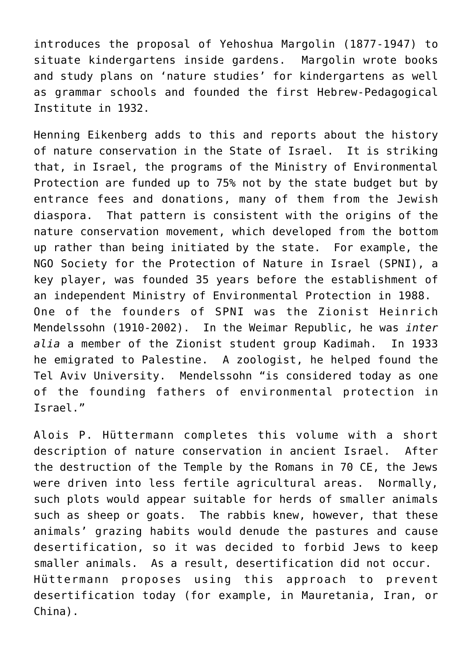introduces the proposal of Yehoshua Margolin (1877-1947) to situate kindergartens inside gardens. Margolin wrote books and study plans on 'nature studies' for kindergartens as well as grammar schools and founded the first Hebrew-Pedagogical Institute in 1932.

Henning Eikenberg adds to this and reports about the history of nature conservation in the State of Israel. It is striking that, in Israel, the programs of the Ministry of Environmental Protection are funded up to 75% not by the state budget but by entrance fees and donations, many of them from the Jewish diaspora. That pattern is consistent with the origins of the nature conservation movement, which developed from the bottom up rather than being initiated by the state. For example, the NGO Society for the Protection of Nature in Israel (SPNI), a key player, was founded 35 years before the establishment of an independent Ministry of Environmental Protection in 1988. One of the founders of SPNI was the Zionist Heinrich Mendelssohn (1910-2002). In the Weimar Republic, he was *inter alia* a member of the Zionist student group Kadimah. In 1933 he emigrated to Palestine. A zoologist, he helped found the Tel Aviv University. Mendelssohn "is considered today as one of the founding fathers of environmental protection in Israel."

Alois P. Hüttermann completes this volume with a short description of nature conservation in ancient Israel. After the destruction of the Temple by the Romans in 70 CE, the Jews were driven into less fertile agricultural areas. Normally, such plots would appear suitable for herds of smaller animals such as sheep or goats. The rabbis knew, however, that these animals' grazing habits would denude the pastures and cause desertification, so it was decided to forbid Jews to keep smaller animals. As a result, desertification did not occur. Hüttermann proposes using this approach to prevent desertification today (for example, in Mauretania, Iran, or China).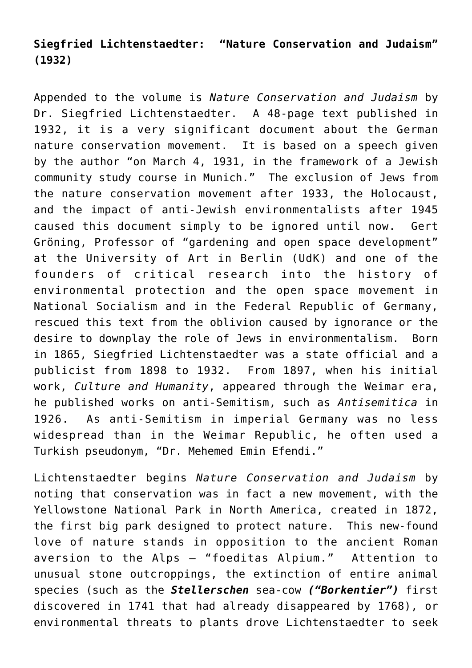## **Siegfried Lichtenstaedter: "Nature Conservation and Judaism" (1932)**

Appended to the volume is *Nature Conservation and Judaism* by Dr. Siegfried Lichtenstaedter. A 48-page text published in 1932, it is a very significant document about the German nature conservation movement. It is based on a speech given by the author "on March 4, 1931, in the framework of a Jewish community study course in Munich." The exclusion of Jews from the nature conservation movement after 1933, the Holocaust, and the impact of anti-Jewish environmentalists after 1945 caused this document simply to be ignored until now. Gert Gröning, Professor of "gardening and open space development" at the University of Art in Berlin (UdK) and one of the founders of critical research into the history of environmental protection and the open space movement in National Socialism and in the Federal Republic of Germany, rescued this text from the oblivion caused by ignorance or the desire to downplay the role of Jews in environmentalism. Born in 1865, Siegfried Lichtenstaedter was a state official and a publicist from 1898 to 1932. From 1897, when his initial work, *Culture and Humanity*, appeared through the Weimar era, he published works on anti-Semitism, such as *Antisemitica* in 1926. As anti-Semitism in imperial Germany was no less widespread than in the Weimar Republic, he often used a Turkish pseudonym, "Dr. Mehemed Emin Efendi."

Lichtenstaedter begins *Nature Conservation and Judaism* by noting that conservation was in fact a new movement, with the Yellowstone National Park in North America, created in 1872, the first big park designed to protect nature. This new-found love of nature stands in opposition to the ancient Roman aversion to the Alps – "foeditas Alpium." Attention to unusual stone outcroppings, the extinction of entire animal species (such as the *Stellerschen* sea-cow *("Borkentier")* first discovered in 1741 that had already disappeared by 1768), or environmental threats to plants drove Lichtenstaedter to seek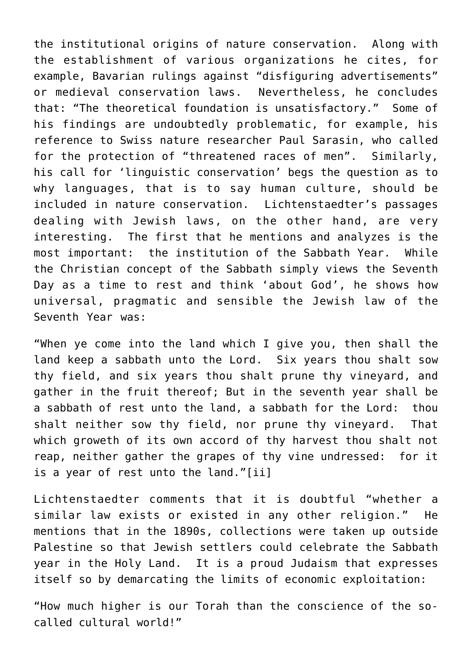the institutional origins of nature conservation. Along with the establishment of various organizations he cites, for example, Bavarian rulings against "disfiguring advertisements" or medieval conservation laws. Nevertheless, he concludes that: "The theoretical foundation is unsatisfactory." Some of his findings are undoubtedly problematic, for example, his reference to Swiss nature researcher Paul Sarasin, who called for the protection of "threatened races of men". Similarly, his call for 'linguistic conservation' begs the question as to why languages, that is to say human culture, should be included in nature conservation. Lichtenstaedter's passages dealing with Jewish laws, on the other hand, are very interesting. The first that he mentions and analyzes is the most important: the institution of the Sabbath Year. While the Christian concept of the Sabbath simply views the Seventh Day as a time to rest and think 'about God', he shows how universal, pragmatic and sensible the Jewish law of the Seventh Year was:

"When ye come into the land which I give you, then shall the land keep a sabbath unto the Lord. Six years thou shalt sow thy field, and six years thou shalt prune thy vineyard, and gather in the fruit thereof; But in the seventh year shall be a sabbath of rest unto the land, a sabbath for the Lord: thou shalt neither sow thy field, nor prune thy vineyard. That which groweth of its own accord of thy harvest thou shalt not reap, neither gather the grapes of thy vine undressed: for it is a year of rest unto the land."[\[ii\]](#page--1-0)

Lichtenstaedter comments that it is doubtful "whether a similar law exists or existed in any other religion." He mentions that in the 1890s, collections were taken up outside Palestine so that Jewish settlers could celebrate the Sabbath year in the Holy Land. It is a proud Judaism that expresses itself so by demarcating the limits of economic exploitation:

"How much higher is our Torah than the conscience of the socalled cultural world!"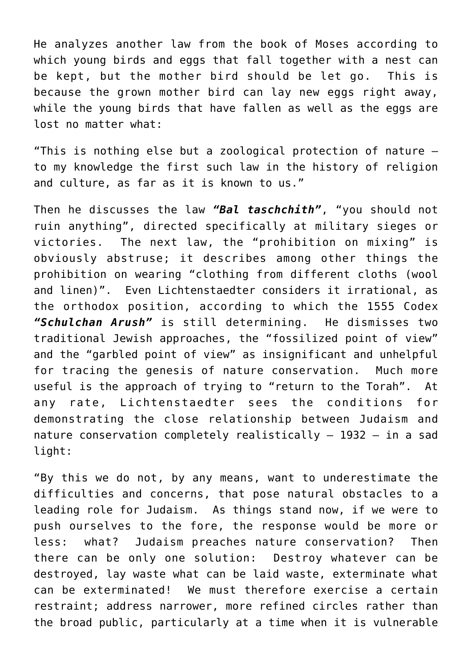He analyzes another law from the book of Moses according to which young birds and eggs that fall together with a nest can be kept, but the mother bird should be let go. This is because the grown mother bird can lay new eggs right away, while the young birds that have fallen as well as the eggs are lost no matter what:

"This is nothing else but a zoological protection of nature – to my knowledge the first such law in the history of religion and culture, as far as it is known to us."

Then he discusses the law *"Bal taschchith"*, "you should not ruin anything", directed specifically at military sieges or victories. The next law, the "prohibition on mixing" is obviously abstruse; it describes among other things the prohibition on wearing "clothing from different cloths (wool and linen)". Even Lichtenstaedter considers it irrational, as the orthodox position, according to which the 1555 Codex *"Schulchan Arush"* is still determining. He dismisses two traditional Jewish approaches, the "fossilized point of view" and the "garbled point of view" as insignificant and unhelpful for tracing the genesis of nature conservation. Much more useful is the approach of trying to "return to the Torah". At any rate, Lichtenstaedter sees the conditions for demonstrating the close relationship between Judaism and nature conservation completely realistically – 1932 – in a sad light:

"By this we do not, by any means, want to underestimate the difficulties and concerns, that pose natural obstacles to a leading role for Judaism. As things stand now, if we were to push ourselves to the fore, the response would be more or less: what? Judaism preaches nature conservation? Then there can be only one solution: Destroy whatever can be destroyed, lay waste what can be laid waste, exterminate what can be exterminated! We must therefore exercise a certain restraint; address narrower, more refined circles rather than the broad public, particularly at a time when it is vulnerable